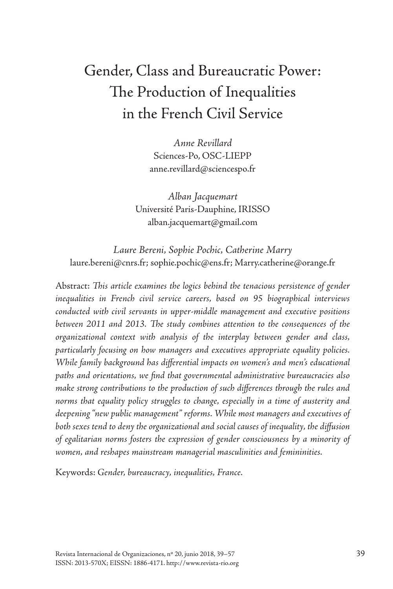# Gender, Class and Bureaucratic Power: The Production of Inequalities in the French Civil Service

*Anne Revillard* Sciences-Po, OSC-LIEPP anne.revillard@sciencespo.fr

*Alban Jacquemart* Université Paris-Dauphine, IRISSO alban.jacquemart@gmail.com

*Laure Bereni, Sophie Pochic, Catherine Marry* laure.bereni@cnrs.fr; sophie.pochic@ens.fr; Marry.catherine@orange.fr

Abstract: *This article examines the logics behind the tenacious persistence of gender inequalities in French civil service careers, based on 95 biographical interviews conducted with civil servants in upper-middle management and executive positions between 2011 and 2013. The study combines attention to the consequences of the organizational context with analysis of the interplay between gender and class, particularly focusing on how managers and executives appropriate equality policies. While family background has differential impacts on women's and men's educational paths and orientations, we find that governmental administrative bureaucracies also make strong contributions to the production of such differences through the rules and norms that equality policy struggles to change, especially in a time of austerity and deepening "new public management" reforms. While most managers and executives of both sexes tend to deny the organizational and social causes of inequality, the diffusion of egalitarian norms fosters the expression of gender consciousness by a minority of women, and reshapes mainstream managerial masculinities and femininities.*

Keywords: *Gender, bureaucracy, inequalities, France.*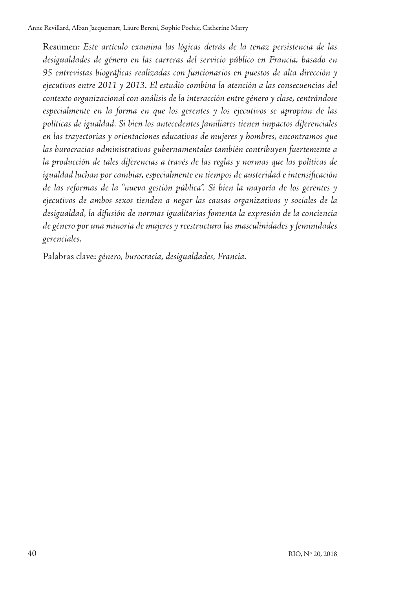Resumen: *Este artículo examina las lógicas detrás de la tenaz persistencia de las desigualdades de género en las carreras del servicio público en Francia, basado en 95 entrevistas biográficas realizadas con funcionarios en puestos de alta dirección y ejecutivos entre 2011 y 2013. El estudio combina la atención a las consecuencias del contexto organizacional con análisis de la interacción entre género y clase, centrándose especialmente en la forma en que los gerentes y los ejecutivos se apropian de las políticas de igualdad. Si bien los antecedentes familiares tienen impactos diferenciales en las trayectorias y orientaciones educativas de mujeres y hombres, encontramos que las burocracias administrativas gubernamentales también contribuyen fuertemente a la producción de tales diferencias a través de las reglas y normas que las políticas de igualdad luchan por cambiar, especialmente en tiempos de austeridad e intensificación de las reformas de la "nueva gestión pública". Si bien la mayoría de los gerentes y ejecutivos de ambos sexos tienden a negar las causas organizativas y sociales de la desigualdad, la difusión de normas igualitarias fomenta la expresión de la conciencia de género por una minoría de mujeres y reestructura las masculinidades y feminidades gerenciales.*

Palabras clave: *género, burocracia, desigualdades, Francia.*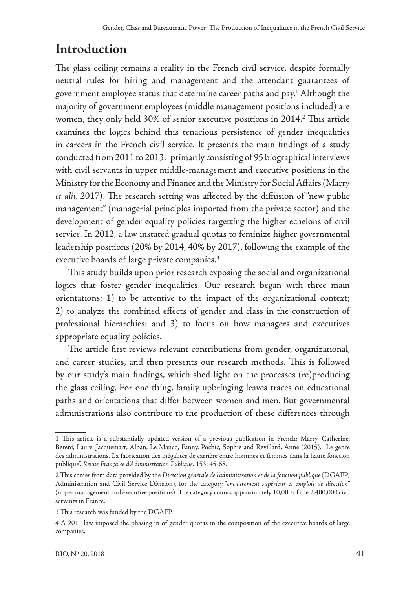## **Introduction**

The glass ceiling remains a reality in the French civil service, despite formally neutral rules for hiring and management and the attendant guarantees of government employee status that determine career paths and pay.1 Although the majority of government employees (middle management positions included) are women, they only held 30% of senior executive positions in 2014.<sup>2</sup> This article examines the logics behind this tenacious persistence of gender inequalities in careers in the French civil service. It presents the main findings of a study conducted from 2011 to 2013,<sup>3</sup> primarily consisting of 95 biographical interviews with civil servants in upper middle-management and executive positions in the Ministry for the Economy and Finance and the Ministry for Social Affairs (Marry *et alii*, 2017). The research setting was affected by the diffusion of "new public management" (managerial principles imported from the private sector) and the development of gender equality policies targetting the higher echelons of civil service. In 2012, a law instated gradual quotas to feminize higher governmental leadership positions (20% by 2014, 40% by 2017), following the example of the executive boards of large private companies.4

This study builds upon prior research exposing the social and organizational logics that foster gender inequalities. Our research began with three main orientations: 1) to be attentive to the impact of the organizational context; 2) to analyze the combined effects of gender and class in the construction of professional hierarchies; and 3) to focus on how managers and executives appropriate equality policies.

The article first reviews relevant contributions from gender, organizational, and career studies, and then presents our research methods. This is followed by our study's main findings, which shed light on the processes (re)producing the glass ceiling. For one thing, family upbringing leaves traces on educational paths and orientations that differ between women and men. But governmental administrations also contribute to the production of these differences through

<sup>1</sup> This article is a substantially updated version of a previous publication in French: Marry, Catherine, Bereni, Laure, Jacquemart, Alban, Le Mancq, Fanny, Pochic, Sophie and Revillard, Anne (2015). "Le genre des administrations. La fabrication des inégalités de carrière entre hommes et femmes dans la haute fonction publique". *Revue Française d'Administration Publique,* 153: 45-68.

<sup>2</sup> This comes from data provided by the *Direction générale de l'administration et de la fonction publique* (DGAFP; Administration and Civil Service Division), for the category "*encadrement supérieur et emplois de direction*" (upper management and executive positions). The category counts approximately 10,000 of the 2,400,000 civil servants in France.

<sup>3</sup> This research was funded by the DGAFP.

<sup>4</sup> A 2011 law imposed the phasing in of gender quotas in the composition of the executive boards of large companies.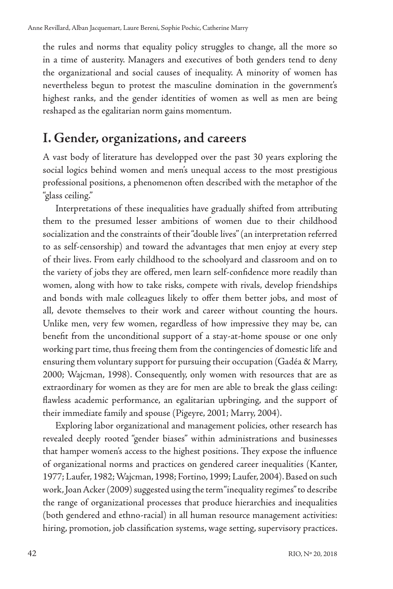the rules and norms that equality policy struggles to change, all the more so in a time of austerity. Managers and executives of both genders tend to deny the organizational and social causes of inequality. A minority of women has nevertheless begun to protest the masculine domination in the government's highest ranks, and the gender identities of women as well as men are being reshaped as the egalitarian norm gains momentum.

### **I. Gender, organizations, and careers**

A vast body of literature has developped over the past 30 years exploring the social logics behind women and men's unequal access to the most prestigious professional positions, a phenomenon often described with the metaphor of the "glass ceiling."

Interpretations of these inequalities have gradually shifted from attributing them to the presumed lesser ambitions of women due to their childhood socialization and the constraints of their "double lives" (an interpretation referred to as self-censorship) and toward the advantages that men enjoy at every step of their lives. From early childhood to the schoolyard and classroom and on to the variety of jobs they are offered, men learn self-confidence more readily than women, along with how to take risks, compete with rivals, develop friendships and bonds with male colleagues likely to offer them better jobs, and most of all, devote themselves to their work and career without counting the hours. Unlike men, very few women, regardless of how impressive they may be, can benefit from the unconditional support of a stay-at-home spouse or one only working part time, thus freeing them from the contingencies of domestic life and ensuring them voluntary support for pursuing their occupation (Gadéa & Marry, 2000; Wajcman, 1998). Consequently, only women with resources that are as extraordinary for women as they are for men are able to break the glass ceiling: flawless academic performance, an egalitarian upbringing, and the support of their immediate family and spouse (Pigeyre, 2001; Marry, 2004).

Exploring labor organizational and management policies, other research has revealed deeply rooted "gender biases" within administrations and businesses that hamper women's access to the highest positions. They expose the influence of organizational norms and practices on gendered career inequalities (Kanter, 1977; Laufer, 1982; Wajcman, 1998; Fortino, 1999; Laufer, 2004). Based on such work, Joan Acker (2009) suggested using the term "inequality regimes" to describe the range of organizational processes that produce hierarchies and inequalities (both gendered and ethno-racial) in all human resource management activities: hiring, promotion, job classification systems, wage setting, supervisory practices.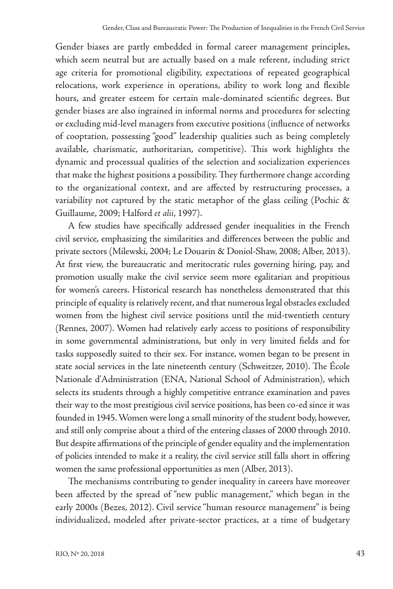Gender biases are partly embedded in formal career management principles, which seem neutral but are actually based on a male referent, including strict age criteria for promotional eligibility, expectations of repeated geographical relocations, work experience in operations, ability to work long and flexible hours, and greater esteem for certain male-dominated scientific degrees. But gender biases are also ingrained in informal norms and procedures for selecting or excluding mid-level managers from executive positions (influence of networks of cooptation, possessing "good" leadership qualities such as being completely available, charismatic, authoritarian, competitive). This work highlights the dynamic and processual qualities of the selection and socialization experiences that make the highest positions a possibility. They furthermore change according to the organizational context, and are affected by restructuring processes, a variability not captured by the static metaphor of the glass ceiling (Pochic & Guillaume, 2009; Halford *et alii*, 1997).

A few studies have specifically addressed gender inequalities in the French civil service, emphasizing the similarities and differences between the public and private sectors (Milewski, 2004; Le Douarin & Doniol-Shaw, 2008; Alber, 2013). At first view, the bureaucratic and meritocratic rules governing hiring, pay, and promotion usually make the civil service seem more egalitarian and propitious for women's careers. Historical research has nonetheless demonstrated that this principle of equality is relatively recent, and that numerous legal obstacles excluded women from the highest civil service positions until the mid-twentieth century (Rennes, 2007). Women had relatively early access to positions of responsibility in some governmental administrations, but only in very limited fields and for tasks supposedly suited to their sex. For instance, women began to be present in state social services in the late nineteenth century (Schweitzer, 2010). The École Nationale d'Administration (ENA, National School of Administration), which selects its students through a highly competitive entrance examination and paves their way to the most prestigious civil service positions, has been co-ed since it was founded in 1945. Women were long a small minority of the student body, however, and still only comprise about a third of the entering classes of 2000 through 2010. But despite affirmations of the principle of gender equality and the implementation of policies intended to make it a reality, the civil service still falls short in offering women the same professional opportunities as men (Alber, 2013).

The mechanisms contributing to gender inequality in careers have moreover been affected by the spread of "new public management," which began in the early 2000s (Bezes, 2012). Civil service "human resource management" is being individualized, modeled after private-sector practices, at a time of budgetary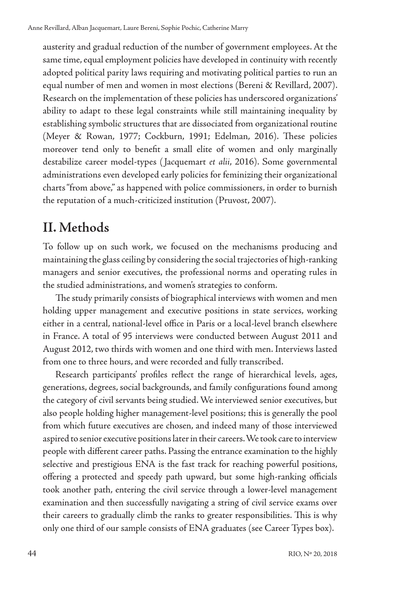austerity and gradual reduction of the number of government employees. At the same time, equal employment policies have developed in continuity with recently adopted political parity laws requiring and motivating political parties to run an equal number of men and women in most elections (Bereni & Revillard, 2007). Research on the implementation of these policies has underscored organizations' ability to adapt to these legal constraints while still maintaining inequality by establishing symbolic structures that are dissociated from organizational routine (Meyer & Rowan, 1977; Cockburn, 1991; Edelman, 2016). These policies moreover tend only to benefit a small elite of women and only marginally destabilize career model-types ( Jacquemart *et alii*, 2016). Some governmental administrations even developed early policies for feminizing their organizational charts "from above," as happened with police commissioners, in order to burnish the reputation of a much-criticized institution (Pruvost, 2007).

## **II. Methods**

To follow up on such work, we focused on the mechanisms producing and maintaining the glass ceiling by considering the social trajectories of high-ranking managers and senior executives, the professional norms and operating rules in the studied administrations, and women's strategies to conform.

The study primarily consists of biographical interviews with women and men holding upper management and executive positions in state services, working either in a central, national-level office in Paris or a local-level branch elsewhere in France. A total of 95 interviews were conducted between August 2011 and August 2012, two thirds with women and one third with men. Interviews lasted from one to three hours, and were recorded and fully transcribed.

Research participants' profiles reflect the range of hierarchical levels, ages, generations, degrees, social backgrounds, and family configurations found among the category of civil servants being studied. We interviewed senior executives, but also people holding higher management-level positions; this is generally the pool from which future executives are chosen, and indeed many of those interviewed aspired to senior executive positions later in their careers. We took care to interview people with different career paths. Passing the entrance examination to the highly selective and prestigious ENA is the fast track for reaching powerful positions, offering a protected and speedy path upward, but some high-ranking officials took another path, entering the civil service through a lower-level management examination and then successfully navigating a string of civil service exams over their careers to gradually climb the ranks to greater responsibilities. This is why only one third of our sample consists of ENA graduates (see Career Types box).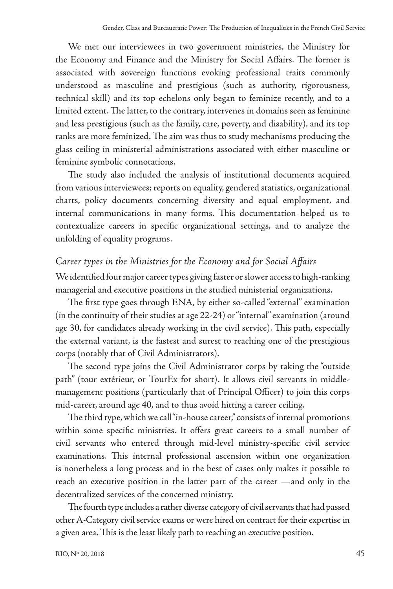We met our interviewees in two government ministries, the Ministry for the Economy and Finance and the Ministry for Social Affairs. The former is associated with sovereign functions evoking professional traits commonly understood as masculine and prestigious (such as authority, rigorousness, technical skill) and its top echelons only began to feminize recently, and to a limited extent. The latter, to the contrary, intervenes in domains seen as feminine and less prestigious (such as the family, care, poverty, and disability), and its top ranks are more feminized. The aim was thus to study mechanisms producing the glass ceiling in ministerial administrations associated with either masculine or feminine symbolic connotations.

The study also included the analysis of institutional documents acquired from various interviewees: reports on equality, gendered statistics, organizational charts, policy documents concerning diversity and equal employment, and internal communications in many forms. This documentation helped us to contextualize careers in specific organizational settings, and to analyze the unfolding of equality programs.

#### *Career types in the Ministries for the Economy and for Social Affairs*

We identified four major career types giving faster or slower access to high-ranking managerial and executive positions in the studied ministerial organizations.

The first type goes through ENA, by either so-called "external" examination (in the continuity of their studies at age 22-24) or "internal" examination (around age 30, for candidates already working in the civil service). This path, especially the external variant, is the fastest and surest to reaching one of the prestigious corps (notably that of Civil Administrators).

The second type joins the Civil Administrator corps by taking the "outside path" (tour extérieur, or TourEx for short). It allows civil servants in middlemanagement positions (particularly that of Principal Officer) to join this corps mid-career, around age 40, and to thus avoid hitting a career ceiling.

The third type, which we call "in-house career," consists of internal promotions within some specific ministries. It offers great careers to a small number of civil servants who entered through mid-level ministry-specific civil service examinations. This internal professional ascension within one organization is nonetheless a long process and in the best of cases only makes it possible to reach an executive position in the latter part of the career —and only in the decentralized services of the concerned ministry.

The fourth type includes a rather diverse category of civil servants that had passed other A-Category civil service exams or were hired on contract for their expertise in a given area. This is the least likely path to reaching an executive position.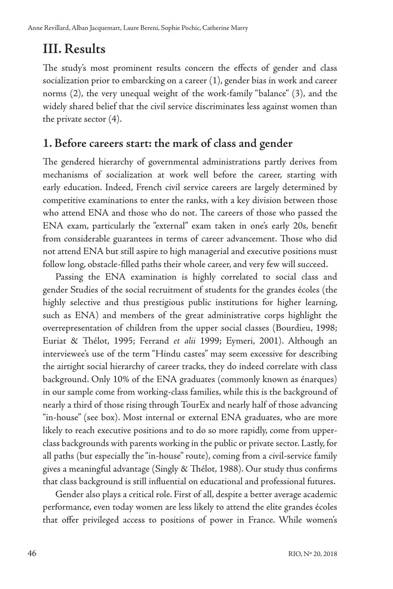## **III. Results**

The study's most prominent results concern the effects of gender and class socialization prior to embarcking on a career (1), gender bias in work and career norms (2), the very unequal weight of the work-family "balance" (3), and the widely shared belief that the civil service discriminates less against women than the private sector (4).

#### **1. Before careers start: the mark of class and gender**

The gendered hierarchy of governmental administrations partly derives from mechanisms of socialization at work well before the career, starting with early education. Indeed, French civil service careers are largely determined by competitive examinations to enter the ranks, with a key division between those who attend ENA and those who do not. The careers of those who passed the ENA exam, particularly the "external" exam taken in one's early 20s, benefit from considerable guarantees in terms of career advancement. Those who did not attend ENA but still aspire to high managerial and executive positions must follow long, obstacle-filled paths their whole career, and very few will succeed.

Passing the ENA examination is highly correlated to social class and gender Studies of the social recruitment of students for the grandes écoles (the highly selective and thus prestigious public institutions for higher learning, such as ENA) and members of the great administrative corps highlight the overrepresentation of children from the upper social classes (Bourdieu, 1998; Euriat & Thélot, 1995; Ferrand *et alii* 1999; Eymeri, 2001). Although an interviewee's use of the term "Hindu castes" may seem excessive for describing the airtight social hierarchy of career tracks, they do indeed correlate with class background. Only 10% of the ENA graduates (commonly known as énarques) in our sample come from working-class families, while this is the background of nearly a third of those rising through TourEx and nearly half of those advancing "in-house" (see box). Most internal or external ENA graduates, who are more likely to reach executive positions and to do so more rapidly, come from upperclass backgrounds with parents working in the public or private sector. Lastly, for all paths (but especially the "in-house" route), coming from a civil-service family gives a meaningful advantage (Singly & Thélot, 1988). Our study thus confirms that class background is still influential on educational and professional futures.

Gender also plays a critical role. First of all, despite a better average academic performance, even today women are less likely to attend the elite grandes écoles that offer privileged access to positions of power in France. While women's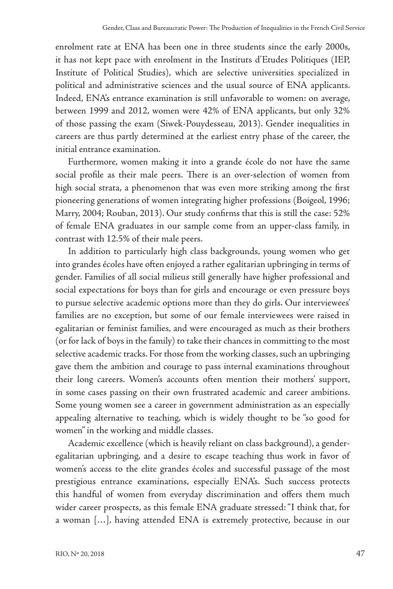enrolment rate at ENA has been one in three students since the early 2000s, it has not kept pace with enrolment in the Instituts d'Etudes Politiques (IEP, Institute of Political Studies), which are selective universities specialized in political and administrative sciences and the usual source of ENA applicants. Indeed, ENA's entrance examination is still unfavorable to women: on average, between 1999 and 2012, women were 42% of ENA applicants, but only 32% of those passing the exam (Siwek-Pouydesseau, 2013). Gender inequalities in careers are thus partly determined at the earliest entry phase of the career, the initial entrance examination.

Furthermore, women making it into a grande école do not have the same social profile as their male peers. There is an over-selection of women from high social strata, a phenomenon that was even more striking among the first pioneering generations of women integrating higher professions (Boigeol, 1996; Marry, 2004; Rouban, 2013). Our study confirms that this is still the case: 52% of female ENA graduates in our sample come from an upper-class family, in contrast with 12.5% of their male peers.

In addition to particularly high class backgrounds, young women who get into grandes écoles have often enjoyed a rather egalitarian upbringing in terms of gender. Families of all social milieus still generally have higher professional and social expectations for boys than for girls and encourage or even pressure boys to pursue selective academic options more than they do girls. Our interviewees' families are no exception, but some of our female interviewees were raised in egalitarian or feminist families, and were encouraged as much as their brothers (or for lack of boys in the family) to take their chances in committing to the most selective academic tracks. For those from the working classes, such an upbringing gave them the ambition and courage to pass internal examinations throughout their long careers. Women's accounts often mention their mothers' support, in some cases passing on their own frustrated academic and career ambitions. Some young women see a career in government administration as an especially appealing alternative to teaching, which is widely thought to be "so good for women" in the working and middle classes.

Academic excellence (which is heavily reliant on class background), a genderegalitarian upbringing, and a desire to escape teaching thus work in favor of women's access to the elite grandes écoles and successful passage of the most prestigious entrance examinations, especially ENA's. Such success protects this handful of women from everyday discrimination and offers them much wider career prospects, as this female ENA graduate stressed: "I think that, for a woman […], having attended ENA is extremely protective, because in our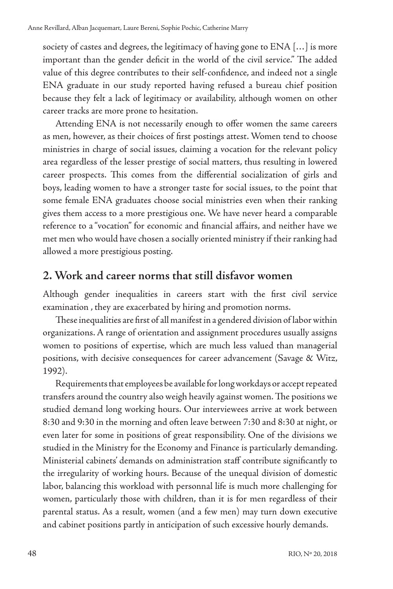society of castes and degrees, the legitimacy of having gone to ENA […] is more important than the gender deficit in the world of the civil service." The added value of this degree contributes to their self-confidence, and indeed not a single ENA graduate in our study reported having refused a bureau chief position because they felt a lack of legitimacy or availability, although women on other career tracks are more prone to hesitation.

Attending ENA is not necessarily enough to offer women the same careers as men, however, as their choices of first postings attest. Women tend to choose ministries in charge of social issues, claiming a vocation for the relevant policy area regardless of the lesser prestige of social matters, thus resulting in lowered career prospects. This comes from the differential socialization of girls and boys, leading women to have a stronger taste for social issues, to the point that some female ENA graduates choose social ministries even when their ranking gives them access to a more prestigious one. We have never heard a comparable reference to a "vocation" for economic and financial affairs, and neither have we met men who would have chosen a socially oriented ministry if their ranking had allowed a more prestigious posting.

#### **2. Work and career norms that still disfavor women**

Although gender inequalities in careers start with the first civil service examination , they are exacerbated by hiring and promotion norms.

These inequalities are first of all manifest in a gendered division of labor within organizations. A range of orientation and assignment procedures usually assigns women to positions of expertise, which are much less valued than managerial positions, with decisive consequences for career advancement (Savage & Witz, 1992).

Requirements that employees be available for long workdays or accept repeated transfers around the country also weigh heavily against women. The positions we studied demand long working hours. Our interviewees arrive at work between 8:30 and 9:30 in the morning and often leave between 7:30 and 8:30 at night, or even later for some in positions of great responsibility. One of the divisions we studied in the Ministry for the Economy and Finance is particularly demanding. Ministerial cabinets' demands on administration staff contribute significantly to the irregularity of working hours. Because of the unequal division of domestic labor, balancing this workload with personnal life is much more challenging for women, particularly those with children, than it is for men regardless of their parental status. As a result, women (and a few men) may turn down executive and cabinet positions partly in anticipation of such excessive hourly demands.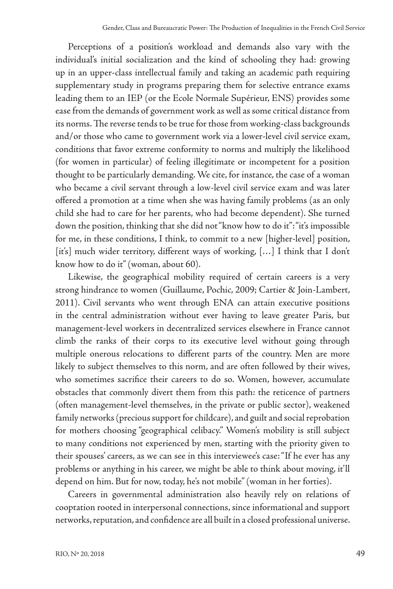Perceptions of a position's workload and demands also vary with the individual's initial socialization and the kind of schooling they had: growing up in an upper-class intellectual family and taking an academic path requiring supplementary study in programs preparing them for selective entrance exams leading them to an IEP (or the Ecole Normale Supérieur, ENS) provides some ease from the demands of government work as well as some critical distance from its norms. The reverse tends to be true for those from working-class backgrounds and/or those who came to government work via a lower-level civil service exam, conditions that favor extreme conformity to norms and multiply the likelihood (for women in particular) of feeling illegitimate or incompetent for a position thought to be particularly demanding. We cite, for instance, the case of a woman who became a civil servant through a low-level civil service exam and was later offered a promotion at a time when she was having family problems (as an only child she had to care for her parents, who had become dependent). She turned down the position, thinking that she did not "know how to do it": "it's impossible for me, in these conditions, I think, to commit to a new [higher-level] position, [it's] much wider territory, different ways of working, [...] I think that I don't know how to do it" (woman, about 60).

Likewise, the geographical mobility required of certain careers is a very strong hindrance to women (Guillaume, Pochic, 2009; Cartier & Join-Lambert, 2011). Civil servants who went through ENA can attain executive positions in the central administration without ever having to leave greater Paris, but management-level workers in decentralized services elsewhere in France cannot climb the ranks of their corps to its executive level without going through multiple onerous relocations to different parts of the country. Men are more likely to subject themselves to this norm, and are often followed by their wives, who sometimes sacrifice their careers to do so. Women, however, accumulate obstacles that commonly divert them from this path: the reticence of partners (often management-level themselves, in the private or public sector), weakened family networks (precious support for childcare), and guilt and social reprobation for mothers choosing "geographical celibacy." Women's mobility is still subject to many conditions not experienced by men, starting with the priority given to their spouses' careers, as we can see in this interviewee's case: "If he ever has any problems or anything in his career, we might be able to think about moving, it'll depend on him. But for now, today, he's not mobile" (woman in her forties).

Careers in governmental administration also heavily rely on relations of cooptation rooted in interpersonal connections, since informational and support networks, reputation, and confidence are all built in a closed professional universe.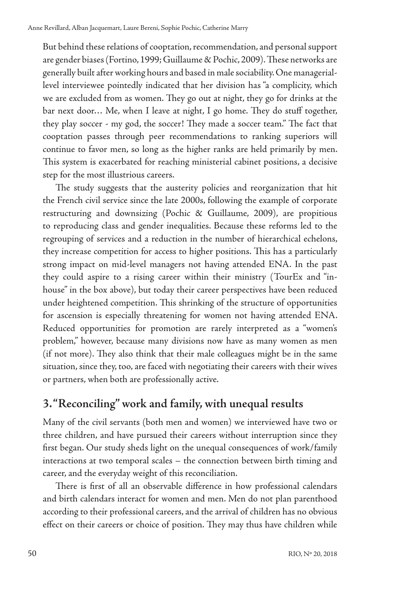But behind these relations of cooptation, recommendation, and personal support are gender biases (Fortino, 1999; Guillaume & Pochic, 2009). These networks are generally built after working hours and based in male sociability. One manageriallevel interviewee pointedly indicated that her division has "a complicity, which we are excluded from as women. They go out at night, they go for drinks at the bar next door… Me, when I leave at night, I go home. They do stuff together, they play soccer - my god, the soccer! They made a soccer team." The fact that cooptation passes through peer recommendations to ranking superiors will continue to favor men, so long as the higher ranks are held primarily by men. This system is exacerbated for reaching ministerial cabinet positions, a decisive step for the most illustrious careers.

The study suggests that the austerity policies and reorganization that hit the French civil service since the late 2000s, following the example of corporate restructuring and downsizing (Pochic & Guillaume, 2009), are propitious to reproducing class and gender inequalities. Because these reforms led to the regrouping of services and a reduction in the number of hierarchical echelons, they increase competition for access to higher positions. This has a particularly strong impact on mid-level managers not having attended ENA. In the past they could aspire to a rising career within their ministry (TourEx and "inhouse" in the box above), but today their career perspectives have been reduced under heightened competition. This shrinking of the structure of opportunities for ascension is especially threatening for women not having attended ENA. Reduced opportunities for promotion are rarely interpreted as a "women's problem," however, because many divisions now have as many women as men (if not more). They also think that their male colleagues might be in the same situation, since they, too, are faced with negotiating their careers with their wives or partners, when both are professionally active.

#### **3. "Reconciling" work and family, with unequal results**

Many of the civil servants (both men and women) we interviewed have two or three children, and have pursued their careers without interruption since they first began. Our study sheds light on the unequal consequences of work/family interactions at two temporal scales – the connection between birth timing and career, and the everyday weight of this reconciliation.

There is first of all an observable difference in how professional calendars and birth calendars interact for women and men. Men do not plan parenthood according to their professional careers, and the arrival of children has no obvious effect on their careers or choice of position. They may thus have children while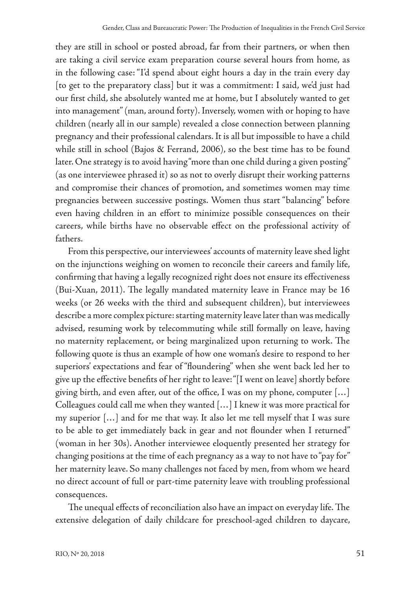they are still in school or posted abroad, far from their partners, or when then are taking a civil service exam preparation course several hours from home, as in the following case: "I'd spend about eight hours a day in the train every day [to get to the preparatory class] but it was a commitment: I said, we'd just had our first child, she absolutely wanted me at home, but I absolutely wanted to get into management" (man, around forty). Inversely, women with or hoping to have children (nearly all in our sample) revealed a close connection between planning pregnancy and their professional calendars. It is all but impossible to have a child while still in school (Bajos & Ferrand, 2006), so the best time has to be found later. One strategy is to avoid having "more than one child during a given posting" (as one interviewee phrased it) so as not to overly disrupt their working patterns and compromise their chances of promotion, and sometimes women may time pregnancies between successive postings. Women thus start "balancing" before even having children in an effort to minimize possible consequences on their careers, while births have no observable effect on the professional activity of fathers.

From this perspective, our interviewees' accounts of maternity leave shed light on the injunctions weighing on women to reconcile their careers and family life, confirming that having a legally recognized right does not ensure its effectiveness (Bui-Xuan, 2011). The legally mandated maternity leave in France may be 16 weeks (or 26 weeks with the third and subsequent children), but interviewees describe a more complex picture: starting maternity leave later than was medically advised, resuming work by telecommuting while still formally on leave, having no maternity replacement, or being marginalized upon returning to work. The following quote is thus an example of how one woman's desire to respond to her superiors' expectations and fear of "floundering" when she went back led her to give up the effective benefits of her right to leave: "[I went on leave] shortly before giving birth, and even after, out of the office, I was on my phone, computer […] Colleagues could call me when they wanted […] I knew it was more practical for my superior […] and for me that way. It also let me tell myself that I was sure to be able to get immediately back in gear and not flounder when I returned" (woman in her 30s). Another interviewee eloquently presented her strategy for changing positions at the time of each pregnancy as a way to not have to "pay for" her maternity leave. So many challenges not faced by men, from whom we heard no direct account of full or part-time paternity leave with troubling professional consequences.

The unequal effects of reconciliation also have an impact on everyday life. The extensive delegation of daily childcare for preschool-aged children to daycare,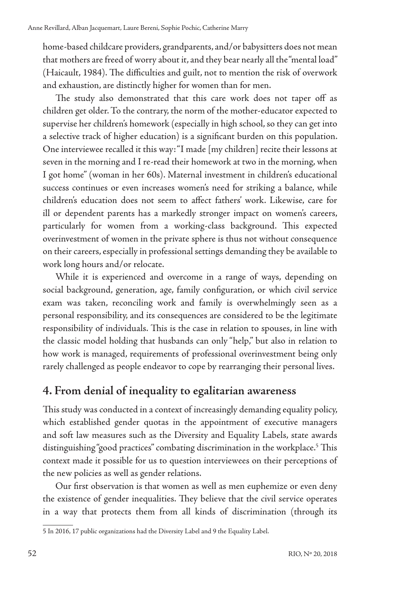home-based childcare providers, grandparents, and/or babysitters does not mean that mothers are freed of worry about it, and they bear nearly all the "mental load" (Haicault, 1984). The difficulties and guilt, not to mention the risk of overwork and exhaustion, are distinctly higher for women than for men.

The study also demonstrated that this care work does not taper off as children get older. To the contrary, the norm of the mother-educator expected to supervise her children's homework (especially in high school, so they can get into a selective track of higher education) is a significant burden on this population. One interviewee recalled it this way: "I made [my children] recite their lessons at seven in the morning and I re-read their homework at two in the morning, when I got home" (woman in her 60s). Maternal investment in children's educational success continues or even increases women's need for striking a balance, while children's education does not seem to affect fathers' work. Likewise, care for ill or dependent parents has a markedly stronger impact on women's careers, particularly for women from a working-class background. This expected overinvestment of women in the private sphere is thus not without consequence on their careers, especially in professional settings demanding they be available to work long hours and/or relocate.

While it is experienced and overcome in a range of ways, depending on social background, generation, age, family configuration, or which civil service exam was taken, reconciling work and family is overwhelmingly seen as a personal responsibility, and its consequences are considered to be the legitimate responsibility of individuals. This is the case in relation to spouses, in line with the classic model holding that husbands can only "help," but also in relation to how work is managed, requirements of professional overinvestment being only rarely challenged as people endeavor to cope by rearranging their personal lives.

#### **4. From denial of inequality to egalitarian awareness**

This study was conducted in a context of increasingly demanding equality policy, which established gender quotas in the appointment of executive managers and soft law measures such as the Diversity and Equality Labels, state awards distinguishing "good practices" combating discrimination in the workplace.<sup>5</sup> This context made it possible for us to question interviewees on their perceptions of the new policies as well as gender relations.

Our first observation is that women as well as men euphemize or even deny the existence of gender inequalities. They believe that the civil service operates in a way that protects them from all kinds of discrimination (through its

<sup>5</sup> In 2016, 17 public organizations had the Diversity Label and 9 the Equality Label.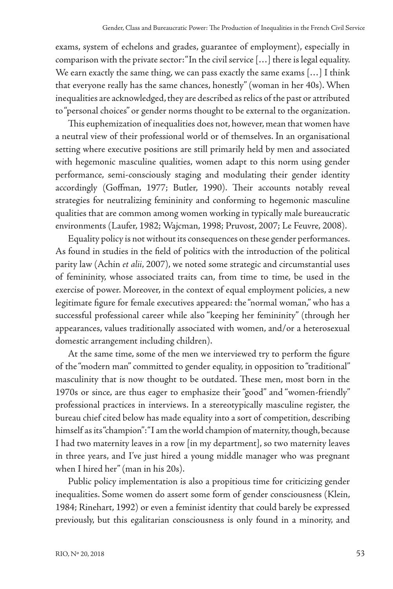exams, system of echelons and grades, guarantee of employment), especially in comparison with the private sector: "In the civil service […] there is legal equality. We earn exactly the same thing, we can pass exactly the same exams [...] I think that everyone really has the same chances, honestly" (woman in her 40s). When inequalities are acknowledged, they are described as relics of the past or attributed to "personal choices" or gender norms thought to be external to the organization.

This euphemization of inequalities does not, however, mean that women have a neutral view of their professional world or of themselves. In an organisational setting where executive positions are still primarily held by men and associated with hegemonic masculine qualities, women adapt to this norm using gender performance, semi-consciously staging and modulating their gender identity accordingly (Goffman, 1977; Butler, 1990). Their accounts notably reveal strategies for neutralizing femininity and conforming to hegemonic masculine qualities that are common among women working in typically male bureaucratic environments (Laufer, 1982; Wajcman, 1998; Pruvost, 2007; Le Feuvre, 2008).

Equality policy is not without its consequences on these gender performances. As found in studies in the field of politics with the introduction of the political parity law (Achin *et alii*, 2007), we noted some strategic and circumstantial uses of femininity, whose associated traits can, from time to time, be used in the exercise of power. Moreover, in the context of equal employment policies, a new legitimate figure for female executives appeared: the "normal woman," who has a successful professional career while also "keeping her femininity" (through her appearances, values traditionally associated with women, and/or a heterosexual domestic arrangement including children).

At the same time, some of the men we interviewed try to perform the figure of the "modern man" committed to gender equality, in opposition to "traditional" masculinity that is now thought to be outdated. These men, most born in the 1970s or since, are thus eager to emphasize their "good" and "women-friendly" professional practices in interviews. In a stereotypically masculine register, the bureau chief cited below has made equality into a sort of competition, describing himself as its "champion": "I am the world champion of maternity, though, because I had two maternity leaves in a row [in my department], so two maternity leaves in three years, and I've just hired a young middle manager who was pregnant when I hired her" (man in his 20s).

Public policy implementation is also a propitious time for criticizing gender inequalities. Some women do assert some form of gender consciousness (Klein, 1984; Rinehart, 1992) or even a feminist identity that could barely be expressed previously, but this egalitarian consciousness is only found in a minority, and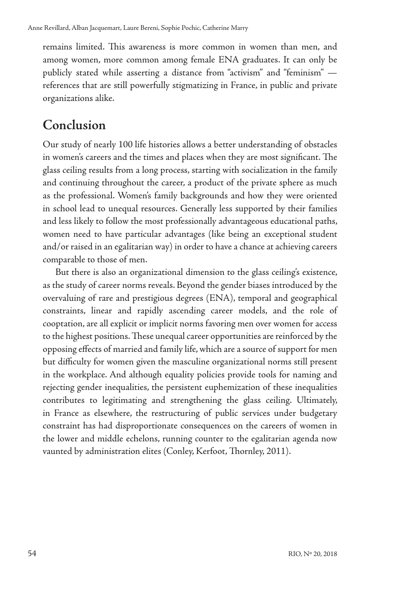remains limited. This awareness is more common in women than men, and among women, more common among female ENA graduates. It can only be publicly stated while asserting a distance from "activism" and "feminism" references that are still powerfully stigmatizing in France, in public and private organizations alike.

## **Conclusion**

Our study of nearly 100 life histories allows a better understanding of obstacles in women's careers and the times and places when they are most significant. The glass ceiling results from a long process, starting with socialization in the family and continuing throughout the career, a product of the private sphere as much as the professional. Women's family backgrounds and how they were oriented in school lead to unequal resources. Generally less supported by their families and less likely to follow the most professionally advantageous educational paths, women need to have particular advantages (like being an exceptional student and/or raised in an egalitarian way) in order to have a chance at achieving careers comparable to those of men.

But there is also an organizational dimension to the glass ceiling's existence, as the study of career norms reveals. Beyond the gender biases introduced by the overvaluing of rare and prestigious degrees (ENA), temporal and geographical constraints, linear and rapidly ascending career models, and the role of cooptation, are all explicit or implicit norms favoring men over women for access to the highest positions. These unequal career opportunities are reinforced by the opposing effects of married and family life, which are a source of support for men but difficulty for women given the masculine organizational norms still present in the workplace. And although equality policies provide tools for naming and rejecting gender inequalities, the persistent euphemization of these inequalities contributes to legitimating and strengthening the glass ceiling. Ultimately, in France as elsewhere, the restructuring of public services under budgetary constraint has had disproportionate consequences on the careers of women in the lower and middle echelons, running counter to the egalitarian agenda now vaunted by administration elites (Conley, Kerfoot, Thornley, 2011).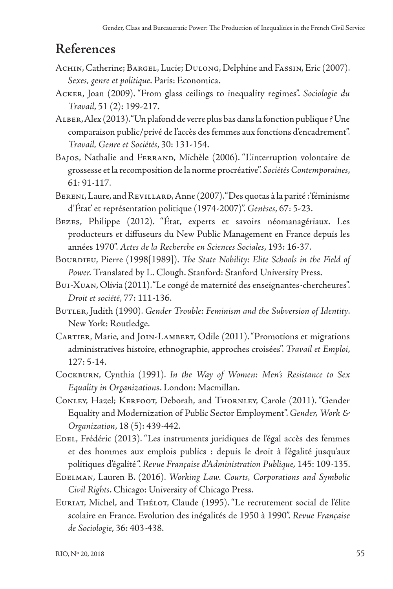## **References**

- ACHIN, Catherine; BARGEL, Lucie; DULONG, Delphine and FASSIN, Eric (2007). *Sexes, genre et politique*. Paris: Economica.
- Acker, Joan (2009). "From glass ceilings to inequality regimes". *Sociologie du Travail*, 51 (2): 199-217.
- Alber, Alex (2013). "Un plafond de verre plus bas dans la fonction publique ? Une comparaison public/privé de l'accès des femmes aux fonctions d'encadrement". *Travail, Genre et Sociétés*, 30: 131-154.
- BAJOS, Nathalie and FERRAND, Michèle (2006). "L'interruption volontaire de grossesse et la recomposition de la norme procréative". *Sociétés Contemporaines*, 61: 91-117.
- Bereni, Laure, and Revillard, Anne (2007). "Des quotas à la parité : 'féminisme d'État' et représentation politique (1974-2007)". *Genèses*, 67: 5-23.
- Bezes, Philippe (2012). "État, experts et savoirs néomanagériaux. Les producteurs et diffuseurs du New Public Management en France depuis les années 1970". *Actes de la Recherche en Sciences Sociales*, 193: 16-37.
- BOURDIEU, Pierre (1998[1989]). *The State Nobility: Elite Schools in the Field of Power.* Translated by L. Clough. Stanford: Stanford University Press.
- Bui-Xuan, Olivia (2011). "Le congé de maternité des enseignantes-chercheures". *Droit et société*, 77: 111-136.
- BUTLER, Judith (1990). Gender Trouble: Feminism and the Subversion of Identity. New York: Routledge.
- Cartier, Marie, and Join-Lambert, Odile (2011). "Promotions et migrations administratives histoire, ethnographie, approches croisées". *Travail et Emploi*, 127: 5-14.
- Cockburn, Cynthia (1991). *In the Way of Women: Men's Resistance to Sex Equality in Organization*s. London: Macmillan.
- CONLEY, Hazel; KERFOOT, Deborah, and THORNLEY, Carole (2011). "Gender Equality and Modernization of Public Sector Employment". *Gender, Work & Organization*, 18 (5): 439-442.
- EDEL, Frédéric (2013). "Les instruments juridiques de l'égal accès des femmes et des hommes aux emplois publics : depuis le droit à l'égalité jusqu'aux politiques d'égalité ". *Revue Française d'Administration Publique,* 145: 109-135.
- Edelman, Lauren B. (2016). *Working Law. Courts, Corporations and Symbolic Civil Rights*. Chicago: University of Chicago Press.
- EURIAT, Michel, and Thélot, Claude (1995). "Le recrutement social de l'élite scolaire en France. Evolution des inégalités de 1950 à 1990". *Revue Française de Sociologie*, 36: 403-438.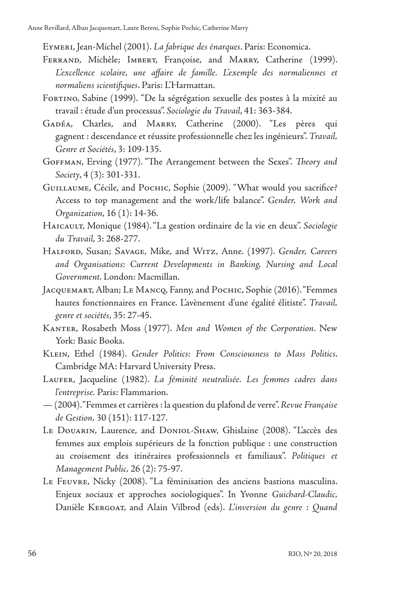Eymeri, Jean-Michel (2001). *La fabrique des énarques*. Paris: Economica.

- FERRAND, Michèle; IMBERT, Françoise, and MARRY, Catherine (1999). L'excellence scolaire, une affaire de famille. L'exemple des normaliennes et *normaliens scientifiques*. Paris: L'Harmattan.
- FORTINO, Sabine (1999). "De la ségrégation sexuelle des postes à la mixité au travail : étude d'un processus". *Sociologie du Travail*, 41: 363-384.
- GADÉA, Charles, and MARRY, Catherine (2000). "Les pères qui gagnent : descendance et réussite professionnelle chez les ingénieurs". *Travail, Genre et Sociétés*, 3: 109-135.
- Goffman, Erving (1977). "The Arrangement between the Sexes". *Theory and Society*, 4 (3): 301-331.
- GUILLAUME, Cécile, and POCHIC, Sophie (2009). "What would you sacrifice? Access to top management and the work/life balance". *Gender, Work and Organization*, 16 (1): 14-36.
- HAICAULT, Monique (1984). "La gestion ordinaire de la vie en deux". Sociologie *du Travail*, 3: 268-277.
- Halford, Susan; Savage, Mike, and Witz, Anne. (1997). *Gender, Careers and Organisations: Current Developments in Banking, Nursing and Local Government*. London: Macmillan.
- JACQUEMART, Alban; LE MANCQ, Fanny, and POCHIC, Sophie (2016). "Femmes hautes fonctionnaires en France. L'avènement d'une égalité élitiste". *Travail, genre et sociétés*, 35: 27-45.
- Kanter, Rosabeth Moss (1977). *Men and Women of the Corporation*. New York: Basic Books.
- Klein, Ethel (1984). *Gender Politics: From Consciousness to Mass Politics*. Cambridge MA: Harvard University Press.
- Laufer, Jacqueline (1982). *La féminité neutralisée. Les femmes cadres dans l'entreprise.* Paris: Flammarion.
- (2004). "Femmes et carrières : la question du plafond de verre". *Revue Française de Gestion,* 30 (151): 117-127.
- Le Douarin, Laurence, and Doniol-Shaw, Ghislaine (2008). "L'accès des femmes aux emplois supérieurs de la fonction publique : une construction au croisement des itinéraires professionnels et familiaux". *Politiques et Management Public,* 26 (2): 75-97.
- Le Feuvre, Nicky (2008). "La féminisation des anciens bastions masculins. Enjeux sociaux et approches sociologiques". In Yvonne *Guichard-Claudic,* Danièle Kergoat, and Alain Vilbrod (eds). *L'inversion du genre : Quand*